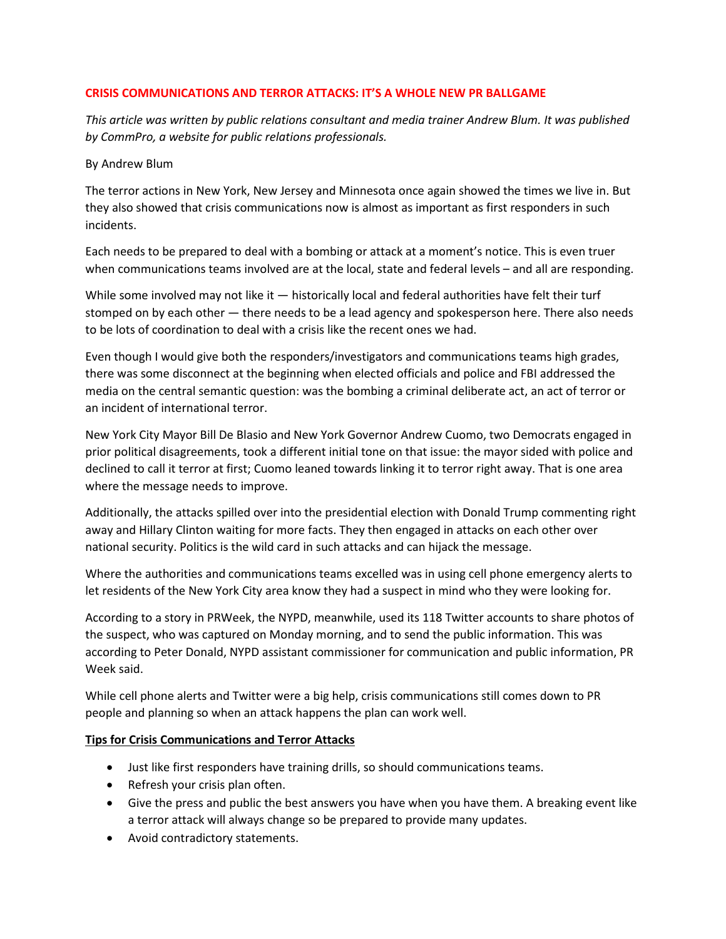## **CRISIS COMMUNICATIONS AND TERROR ATTACKS: IT'S A WHOLE NEW PR BALLGAME**

*This article was written by public relations consultant and media trainer Andrew Blum. It was published by CommPro, a website for public relations professionals.*

## By Andrew Blum

The terror actions in New York, New Jersey and Minnesota once again showed the times we live in. But they also showed that crisis communications now is almost as important as first responders in such incidents.

Each needs to be prepared to deal with a bombing or attack at a moment's notice. This is even truer when communications teams involved are at the local, state and federal levels – and all are responding.

While some involved may not like it — historically local and federal authorities have felt their turf stomped on by each other — there needs to be a lead agency and spokesperson here. There also needs to be lots of coordination to deal with a crisis like the recent ones we had.

Even though I would give both the responders/investigators and communications teams high grades, there was some disconnect at the beginning when elected officials and police and FBI addressed the media on the central semantic question: was the bombing a criminal deliberate act, an act of terror or an incident of international terror.

New York City Mayor Bill De Blasio and New York Governor Andrew Cuomo, two Democrats engaged in prior political disagreements, took a different initial tone on that issue: the mayor sided with police and declined to call it terror at first; Cuomo leaned towards linking it to terror right away. That is one area where the message needs to improve.

Additionally, the attacks spilled over into the presidential election with Donald Trump commenting right away and Hillary Clinton waiting for more facts. They then engaged in attacks on each other over national security. Politics is the wild card in such attacks and can hijack the message.

Where the authorities and communications teams excelled was in using cell phone emergency alerts to let residents of the New York City area know they had a suspect in mind who they were looking for.

According to a story in PRWeek, the NYPD, meanwhile, used its 118 Twitter accounts to share photos of the suspect, who was captured on Monday morning, and to send the public information. This was according to Peter Donald, NYPD assistant commissioner for communication and public information, PR Week said.

While cell phone alerts and Twitter were a big help, crisis communications still comes down to PR people and planning so when an attack happens the plan can work well.

## **Tips for Crisis Communications and Terror Attacks**

- Just like first responders have training drills, so should communications teams.
- Refresh your crisis plan often.
- Give the press and public the best answers you have when you have them. A breaking event like a terror attack will always change so be prepared to provide many updates.
- Avoid contradictory statements.